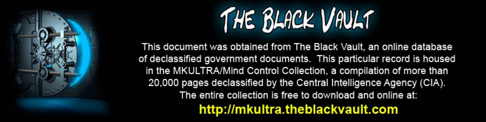

This document was obtained from The Black Vault, an online database of declassified government documents. This particular record is housed in the MKULTRA/Mind Control Collection, a compilation of more than 20,000 pages declassified by the Central Intelligence Agency (CIA). The entire collection is free to download and online at: http://mkultra.theblackvault.com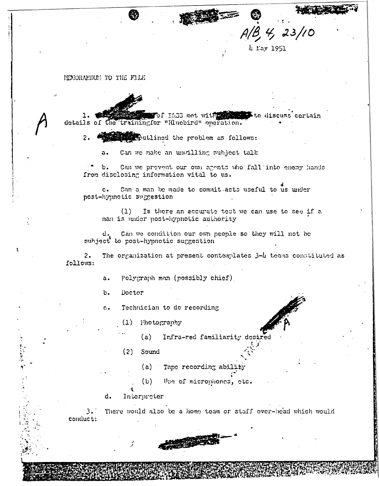$3, 4, 23/10$ 

 $k$  May 1951

## HEMORAMDUM TO THE FILE

of 1633 met with the service to discuss certain details of the trainingfor "Bluebird" operation.

 $2.$ sputlined the problem as follows:

> Can we make an unvilling subject talk  $a.$

 $\mathbf b$ . Can we provent our own agents who fall into enemy hands from disclosing information vital to us.

Can a man be made to commit acts useful to us under  $\mathbf{c}$ . post-hypnotic suggestion

Is there an accurate test we can use to see if a  $(1)$ man is under post-hypnotic authority

Can we condition our own people so they will not be d. subject to post-hypnotic suggestion

The organization at present contemplates 3-4 teams constituted as  $2.$ follows:

> Polygraph man (possibly chief)  $a.$

Doctor  $\mathbf{b}$ .

子を読みをす こころ

Technician to do recording  $\mathbf{c}$ .

 $(1)$  Photography

Infra-red familiarity desired  $(a)$ 

Sound  $(2)$ 

(a) Tape recording ability

 $(b)$ Use of microphones, etc.

d. Interpreter

 $3.1$ There would also be a home team or staff over-head which would conduct:

**BAR**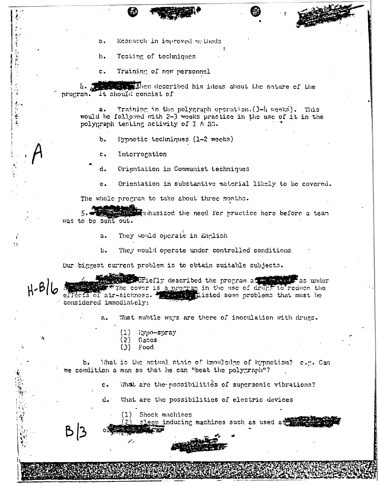Research in improved methods  $a.$ 

Testing of techniques  $\mathbf{b}$ .

Ì.

なみ掛けない。

赤谷 にあてる

٠,

- 「全ての情報を持っている」

 $H-B$ 

Training of new personnel  $c.$ 

4. The constitution described his ideas about the nature of the program. It should consist of

Training in the polygraph operation. (3-h weeks). This  $a<sub>1</sub>$ would be followed with 2-3 weeks practice in the use of it in the polygraph testing activity of J & SS.

- $b.$ lypnotic techniques (1-2 weeks)
- Interrogation  $C -$
- d. Orientation in Communist techniques
- Orientation in substantive material likely to be covered.  $e<sub>1</sub>$

The whole program to take about three months.

mandmasized the need for practice here before a team was to be sent out.

- They would operate in English  $a<sub>1</sub>$
- They would operate under controlled conditions  $b -$

Our biggest current problem is to obtain suitable subjects.

strofiefly described the program at the season  $\mathbb F$ as under EXThe cover is a program in the use of drugs to reduce the effects of air-sickness. The complisted some problems that must be considered immediately:

> What subtle ways are there of inoculation with drugs. a.

- $(1)$  lypo-spray
- $(2)$ Gases
- Food  $(3)$

What is the actual state of knowledge of hypnotism? c.g. Can  $b_{\bullet}$ we condition a man so that he can "beat the polygraph"?

> What are the possibilities of supersonic vibrations?  $c_{\bullet}$

What are the possibilities of electric devices  $d_{\bullet}$ .

Shock machines  $(1)$ sleep inducing machines such as used at